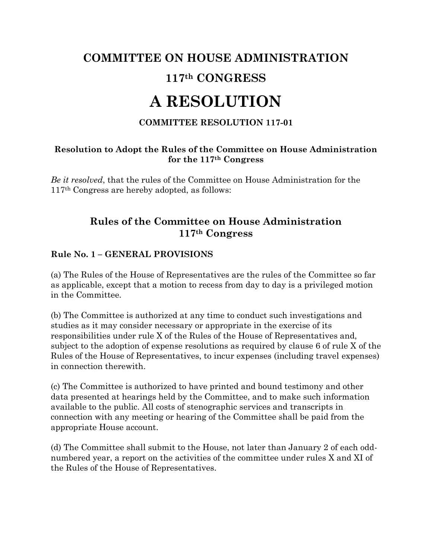# **COMMITTEE ON HOUSE ADMINISTRATION 117th CONGRESS**

# **A RESOLUTION**

#### **COMMITTEE RESOLUTION 117-01**

#### **Resolution to Adopt the Rules of the Committee on House Administration for the 117th Congress**

*Be it resolved*, that the rules of the Committee on House Administration for the 117th Congress are hereby adopted, as follows:

# **Rules of the Committee on House Administration 117th Congress**

#### **Rule No. 1 – GENERAL PROVISIONS**

(a) The Rules of the House of Representatives are the rules of the Committee so far as applicable, except that a motion to recess from day to day is a privileged motion in the Committee.

(b) The Committee is authorized at any time to conduct such investigations and studies as it may consider necessary or appropriate in the exercise of its responsibilities under rule X of the Rules of the House of Representatives and, subject to the adoption of expense resolutions as required by clause 6 of rule X of the Rules of the House of Representatives, to incur expenses (including travel expenses) in connection therewith.

(c) The Committee is authorized to have printed and bound testimony and other data presented at hearings held by the Committee, and to make such information available to the public. All costs of stenographic services and transcripts in connection with any meeting or hearing of the Committee shall be paid from the appropriate House account.

(d) The Committee shall submit to the House, not later than January 2 of each oddnumbered year, a report on the activities of the committee under rules X and XI of the Rules of the House of Representatives.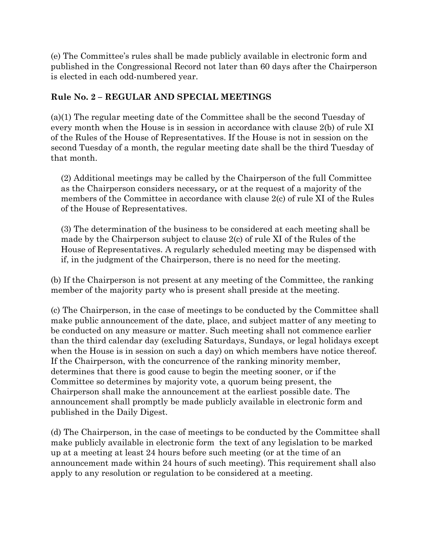(e) The Committee's rules shall be made publicly available in electronic form and published in the Congressional Record not later than 60 days after the Chairperson is elected in each odd-numbered year.

#### **Rule No. 2 – REGULAR AND SPECIAL MEETINGS**

(a)(1) The regular meeting date of the Committee shall be the second Tuesday of every month when the House is in session in accordance with clause 2(b) of rule XI of the Rules of the House of Representatives. If the House is not in session on the second Tuesday of a month, the regular meeting date shall be the third Tuesday of that month.

(2) Additional meetings may be called by the Chairperson of the full Committee as the Chairperson considers necessary*,* or at the request of a majority of the members of the Committee in accordance with clause 2(c) of rule XI of the Rules of the House of Representatives.

(3) The determination of the business to be considered at each meeting shall be made by the Chairperson subject to clause 2(c) of rule XI of the Rules of the House of Representatives. A regularly scheduled meeting may be dispensed with if, in the judgment of the Chairperson, there is no need for the meeting.

(b) If the Chairperson is not present at any meeting of the Committee, the ranking member of the majority party who is present shall preside at the meeting.

(c) The Chairperson, in the case of meetings to be conducted by the Committee shall make public announcement of the date, place, and subject matter of any meeting to be conducted on any measure or matter. Such meeting shall not commence earlier than the third calendar day (excluding Saturdays, Sundays, or legal holidays except when the House is in session on such a day) on which members have notice thereof. If the Chairperson, with the concurrence of the ranking minority member, determines that there is good cause to begin the meeting sooner, or if the Committee so determines by majority vote, a quorum being present, the Chairperson shall make the announcement at the earliest possible date. The announcement shall promptly be made publicly available in electronic form and published in the Daily Digest.

(d) The Chairperson, in the case of meetings to be conducted by the Committee shall make publicly available in electronic form the text of any legislation to be marked up at a meeting at least 24 hours before such meeting (or at the time of an announcement made within 24 hours of such meeting). This requirement shall also apply to any resolution or regulation to be considered at a meeting.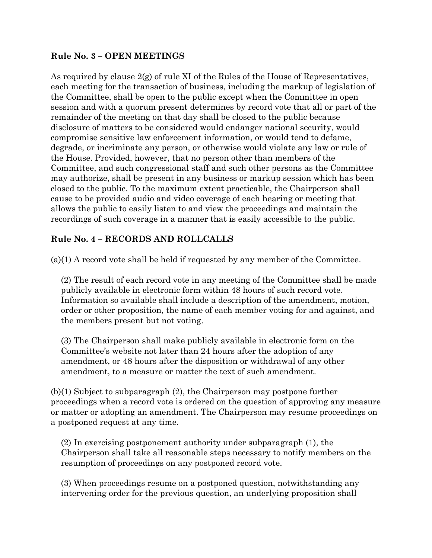#### **Rule No. 3 – OPEN MEETINGS**

As required by clause  $2(g)$  of rule XI of the Rules of the House of Representatives, each meeting for the transaction of business, including the markup of legislation of the Committee, shall be open to the public except when the Committee in open session and with a quorum present determines by record vote that all or part of the remainder of the meeting on that day shall be closed to the public because disclosure of matters to be considered would endanger national security, would compromise sensitive law enforcement information, or would tend to defame, degrade, or incriminate any person, or otherwise would violate any law or rule of the House. Provided, however, that no person other than members of the Committee, and such congressional staff and such other persons as the Committee may authorize, shall be present in any business or markup session which has been closed to the public. To the maximum extent practicable, the Chairperson shall cause to be provided audio and video coverage of each hearing or meeting that allows the public to easily listen to and view the proceedings and maintain the recordings of such coverage in a manner that is easily accessible to the public.

#### **Rule No. 4 – RECORDS AND ROLLCALLS**

(a)(1) A record vote shall be held if requested by any member of the Committee.

(2) The result of each record vote in any meeting of the Committee shall be made publicly available in electronic form within 48 hours of such record vote. Information so available shall include a description of the amendment, motion, order or other proposition, the name of each member voting for and against, and the members present but not voting.

(3) The Chairperson shall make publicly available in electronic form on the Committee's website not later than 24 hours after the adoption of any amendment, or 48 hours after the disposition or withdrawal of any other amendment, to a measure or matter the text of such amendment.

(b)(1) Subject to subparagraph (2), the Chairperson may postpone further proceedings when a record vote is ordered on the question of approving any measure or matter or adopting an amendment. The Chairperson may resume proceedings on a postponed request at any time.

(2) In exercising postponement authority under subparagraph (1), the Chairperson shall take all reasonable steps necessary to notify members on the resumption of proceedings on any postponed record vote.

(3) When proceedings resume on a postponed question, notwithstanding any intervening order for the previous question, an underlying proposition shall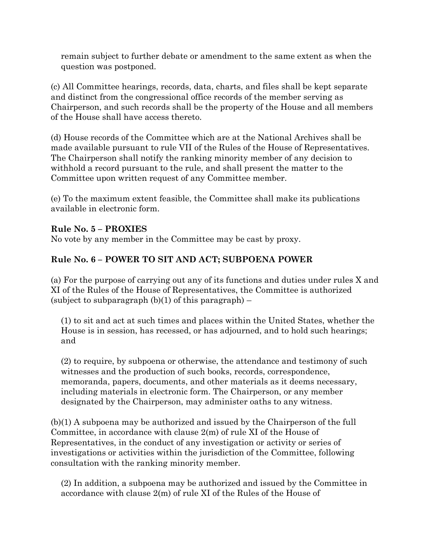remain subject to further debate or amendment to the same extent as when the question was postponed.

(c) All Committee hearings, records, data, charts, and files shall be kept separate and distinct from the congressional office records of the member serving as Chairperson, and such records shall be the property of the House and all members of the House shall have access thereto.

(d) House records of the Committee which are at the National Archives shall be made available pursuant to rule VII of the Rules of the House of Representatives. The Chairperson shall notify the ranking minority member of any decision to withhold a record pursuant to the rule, and shall present the matter to the Committee upon written request of any Committee member.

(e) To the maximum extent feasible, the Committee shall make its publications available in electronic form.

#### **Rule No. 5 – PROXIES**

No vote by any member in the Committee may be cast by proxy.

#### **Rule No. 6 – POWER TO SIT AND ACT; SUBPOENA POWER**

(a) For the purpose of carrying out any of its functions and duties under rules X and XI of the Rules of the House of Representatives, the Committee is authorized (subject to subparagraph  $(b)(1)$  of this paragraph) –

(1) to sit and act at such times and places within the United States, whether the House is in session, has recessed, or has adjourned, and to hold such hearings; and

(2) to require, by subpoena or otherwise, the attendance and testimony of such witnesses and the production of such books, records, correspondence, memoranda, papers, documents, and other materials as it deems necessary, including materials in electronic form. The Chairperson, or any member designated by the Chairperson, may administer oaths to any witness.

(b)(1) A subpoena may be authorized and issued by the Chairperson of the full Committee, in accordance with clause 2(m) of rule XI of the House of Representatives, in the conduct of any investigation or activity or series of investigations or activities within the jurisdiction of the Committee, following consultation with the ranking minority member.

(2) In addition, a subpoena may be authorized and issued by the Committee in accordance with clause 2(m) of rule XI of the Rules of the House of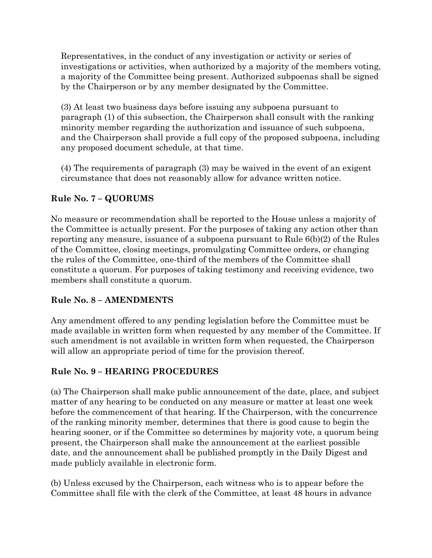Representatives, in the conduct of any investigation or activity or series of investigations or activities, when authorized by a majority of the members voting, a majority of the Committee being present. Authorized subpoenas shall be signed by the Chairperson or by any member designated by the Committee.

(3) At least two business days before issuing any subpoena pursuant to paragraph (1) of this subsection, the Chairperson shall consult with the ranking minority member regarding the authorization and issuance of such subpoena, and the Chairperson shall provide a full copy of the proposed subpoena, including any proposed document schedule, at that time.

(4) The requirements of paragraph (3) may be waived in the event of an exigent circumstance that does not reasonably allow for advance written notice.

#### **Rule No. 7 – QUORUMS**

No measure or recommendation shall be reported to the House unless a majority of the Committee is actually present. For the purposes of taking any action other than reporting any measure, issuance of a subpoena pursuant to Rule  $6(b)(2)$  of the Rules of the Committee, closing meetings, promulgating Committee orders, or changing the rules of the Committee, one-third of the members of the Committee shall constitute a quorum. For purposes of taking testimony and receiving evidence, two members shall constitute a quorum.

#### **Rule No. 8 – AMENDMENTS**

Any amendment offered to any pending legislation before the Committee must be made available in written form when requested by any member of the Committee. If such amendment is not available in written form when requested, the Chairperson will allow an appropriate period of time for the provision thereof.

#### **Rule No. 9 – HEARING PROCEDURES**

(a) The Chairperson shall make public announcement of the date, place, and subject matter of any hearing to be conducted on any measure or matter at least one week before the commencement of that hearing. If the Chairperson, with the concurrence of the ranking minority member, determines that there is good cause to begin the hearing sooner, or if the Committee so determines by majority vote, a quorum being present, the Chairperson shall make the announcement at the earliest possible date, and the announcement shall be published promptly in the Daily Digest and made publicly available in electronic form.

(b) Unless excused by the Chairperson, each witness who is to appear before the Committee shall file with the clerk of the Committee, at least 48 hours in advance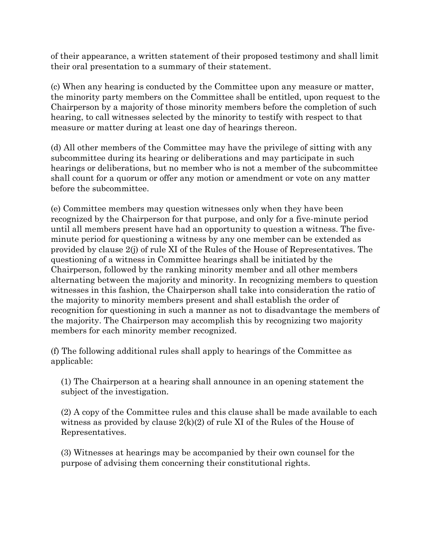of their appearance, a written statement of their proposed testimony and shall limit their oral presentation to a summary of their statement.

(c) When any hearing is conducted by the Committee upon any measure or matter, the minority party members on the Committee shall be entitled, upon request to the Chairperson by a majority of those minority members before the completion of such hearing, to call witnesses selected by the minority to testify with respect to that measure or matter during at least one day of hearings thereon.

(d) All other members of the Committee may have the privilege of sitting with any subcommittee during its hearing or deliberations and may participate in such hearings or deliberations, but no member who is not a member of the subcommittee shall count for a quorum or offer any motion or amendment or vote on any matter before the subcommittee.

(e) Committee members may question witnesses only when they have been recognized by the Chairperson for that purpose, and only for a five-minute period until all members present have had an opportunity to question a witness. The fiveminute period for questioning a witness by any one member can be extended as provided by clause 2(j) of rule XI of the Rules of the House of Representatives. The questioning of a witness in Committee hearings shall be initiated by the Chairperson, followed by the ranking minority member and all other members alternating between the majority and minority. In recognizing members to question witnesses in this fashion, the Chairperson shall take into consideration the ratio of the majority to minority members present and shall establish the order of recognition for questioning in such a manner as not to disadvantage the members of the majority. The Chairperson may accomplish this by recognizing two majority members for each minority member recognized.

(f) The following additional rules shall apply to hearings of the Committee as applicable:

(1) The Chairperson at a hearing shall announce in an opening statement the subject of the investigation.

(2) A copy of the Committee rules and this clause shall be made available to each witness as provided by clause  $2(k)(2)$  of rule XI of the Rules of the House of Representatives.

(3) Witnesses at hearings may be accompanied by their own counsel for the purpose of advising them concerning their constitutional rights.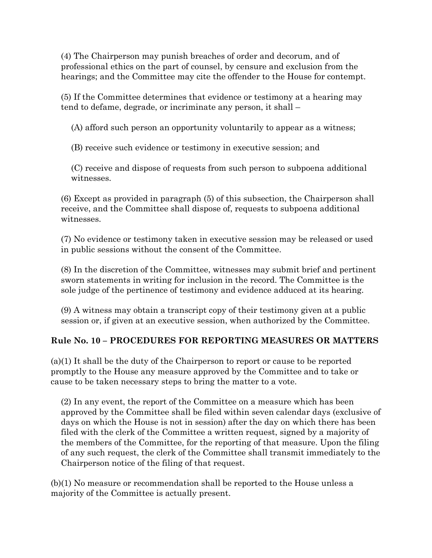(4) The Chairperson may punish breaches of order and decorum, and of professional ethics on the part of counsel, by censure and exclusion from the hearings; and the Committee may cite the offender to the House for contempt.

(5) If the Committee determines that evidence or testimony at a hearing may tend to defame, degrade, or incriminate any person, it shall –

(A) afford such person an opportunity voluntarily to appear as a witness;

(B) receive such evidence or testimony in executive session; and

(C) receive and dispose of requests from such person to subpoena additional witnesses.

(6) Except as provided in paragraph (5) of this subsection, the Chairperson shall receive, and the Committee shall dispose of, requests to subpoena additional witnesses.

(7) No evidence or testimony taken in executive session may be released or used in public sessions without the consent of the Committee.

(8) In the discretion of the Committee, witnesses may submit brief and pertinent sworn statements in writing for inclusion in the record. The Committee is the sole judge of the pertinence of testimony and evidence adduced at its hearing.

(9) A witness may obtain a transcript copy of their testimony given at a public session or, if given at an executive session, when authorized by the Committee.

#### **Rule No. 10 – PROCEDURES FOR REPORTING MEASURES OR MATTERS**

(a)(1) It shall be the duty of the Chairperson to report or cause to be reported promptly to the House any measure approved by the Committee and to take or cause to be taken necessary steps to bring the matter to a vote.

(2) In any event, the report of the Committee on a measure which has been approved by the Committee shall be filed within seven calendar days (exclusive of days on which the House is not in session) after the day on which there has been filed with the clerk of the Committee a written request, signed by a majority of the members of the Committee, for the reporting of that measure. Upon the filing of any such request, the clerk of the Committee shall transmit immediately to the Chairperson notice of the filing of that request.

(b)(1) No measure or recommendation shall be reported to the House unless a majority of the Committee is actually present.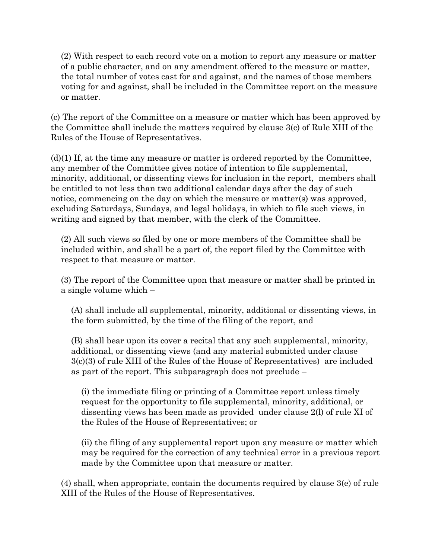(2) With respect to each record vote on a motion to report any measure or matter of a public character, and on any amendment offered to the measure or matter, the total number of votes cast for and against, and the names of those members voting for and against, shall be included in the Committee report on the measure or matter.

(c) The report of the Committee on a measure or matter which has been approved by the Committee shall include the matters required by clause 3(c) of Rule XIII of the Rules of the House of Representatives.

 $(d)(1)$  If, at the time any measure or matter is ordered reported by the Committee, any member of the Committee gives notice of intention to file supplemental, minority, additional, or dissenting views for inclusion in the report, members shall be entitled to not less than two additional calendar days after the day of such notice, commencing on the day on which the measure or matter(s) was approved, excluding Saturdays, Sundays, and legal holidays, in which to file such views, in writing and signed by that member, with the clerk of the Committee.

(2) All such views so filed by one or more members of the Committee shall be included within, and shall be a part of, the report filed by the Committee with respect to that measure or matter.

(3) The report of the Committee upon that measure or matter shall be printed in a single volume which –

(A) shall include all supplemental, minority, additional or dissenting views, in the form submitted, by the time of the filing of the report, and

(B) shall bear upon its cover a recital that any such supplemental, minority, additional, or dissenting views (and any material submitted under clause 3(c)(3) of rule XIII of the Rules of the House of Representatives) are included as part of the report. This subparagraph does not preclude –

(i) the immediate filing or printing of a Committee report unless timely request for the opportunity to file supplemental, minority, additional, or dissenting views has been made as provided under clause 2(l) of rule XI of the Rules of the House of Representatives; or

(ii) the filing of any supplemental report upon any measure or matter which may be required for the correction of any technical error in a previous report made by the Committee upon that measure or matter.

(4) shall, when appropriate, contain the documents required by clause 3(e) of rule XIII of the Rules of the House of Representatives.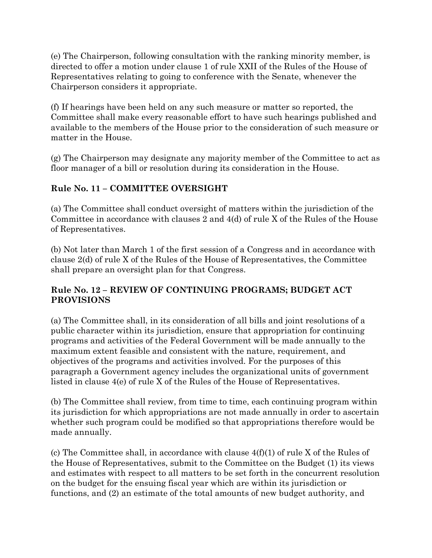(e) The Chairperson, following consultation with the ranking minority member, is directed to offer a motion under clause 1 of rule XXII of the Rules of the House of Representatives relating to going to conference with the Senate, whenever the Chairperson considers it appropriate.

(f) If hearings have been held on any such measure or matter so reported, the Committee shall make every reasonable effort to have such hearings published and available to the members of the House prior to the consideration of such measure or matter in the House.

(g) The Chairperson may designate any majority member of the Committee to act as floor manager of a bill or resolution during its consideration in the House.

# **Rule No. 11 – COMMITTEE OVERSIGHT**

(a) The Committee shall conduct oversight of matters within the jurisdiction of the Committee in accordance with clauses 2 and 4(d) of rule X of the Rules of the House of Representatives.

(b) Not later than March 1 of the first session of a Congress and in accordance with clause 2(d) of rule X of the Rules of the House of Representatives, the Committee shall prepare an oversight plan for that Congress.

# **Rule No. 12 – REVIEW OF CONTINUING PROGRAMS; BUDGET ACT PROVISIONS**

(a) The Committee shall, in its consideration of all bills and joint resolutions of a public character within its jurisdiction, ensure that appropriation for continuing programs and activities of the Federal Government will be made annually to the maximum extent feasible and consistent with the nature, requirement, and objectives of the programs and activities involved. For the purposes of this paragraph a Government agency includes the organizational units of government listed in clause 4(e) of rule X of the Rules of the House of Representatives.

(b) The Committee shall review, from time to time, each continuing program within its jurisdiction for which appropriations are not made annually in order to ascertain whether such program could be modified so that appropriations therefore would be made annually.

(c) The Committee shall, in accordance with clause 4(f)(1) of rule X of the Rules of the House of Representatives, submit to the Committee on the Budget (1) its views and estimates with respect to all matters to be set forth in the concurrent resolution on the budget for the ensuing fiscal year which are within its jurisdiction or functions, and (2) an estimate of the total amounts of new budget authority, and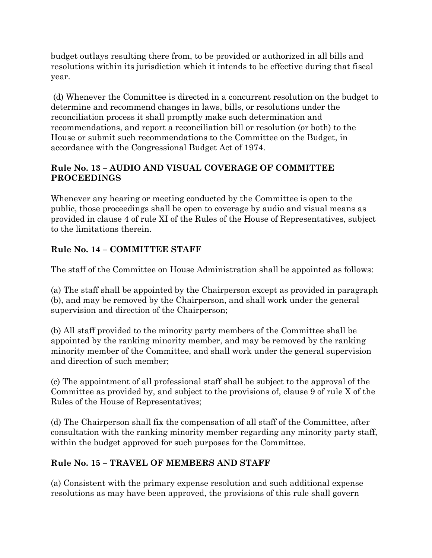budget outlays resulting there from, to be provided or authorized in all bills and resolutions within its jurisdiction which it intends to be effective during that fiscal year.

(d) Whenever the Committee is directed in a concurrent resolution on the budget to determine and recommend changes in laws, bills, or resolutions under the reconciliation process it shall promptly make such determination and recommendations, and report a reconciliation bill or resolution (or both) to the House or submit such recommendations to the Committee on the Budget, in accordance with the Congressional Budget Act of 1974.

#### **Rule No. 13 – AUDIO AND VISUAL COVERAGE OF COMMITTEE PROCEEDINGS**

Whenever any hearing or meeting conducted by the Committee is open to the public, those proceedings shall be open to coverage by audio and visual means as provided in clause 4 of rule XI of the Rules of the House of Representatives, subject to the limitations therein.

# **Rule No. 14 – COMMITTEE STAFF**

The staff of the Committee on House Administration shall be appointed as follows:

(a) The staff shall be appointed by the Chairperson except as provided in paragraph (b), and may be removed by the Chairperson, and shall work under the general supervision and direction of the Chairperson;

(b) All staff provided to the minority party members of the Committee shall be appointed by the ranking minority member, and may be removed by the ranking minority member of the Committee, and shall work under the general supervision and direction of such member;

(c) The appointment of all professional staff shall be subject to the approval of the Committee as provided by, and subject to the provisions of, clause 9 of rule X of the Rules of the House of Representatives;

(d) The Chairperson shall fix the compensation of all staff of the Committee, after consultation with the ranking minority member regarding any minority party staff, within the budget approved for such purposes for the Committee.

# **Rule No. 15 – TRAVEL OF MEMBERS AND STAFF**

(a) Consistent with the primary expense resolution and such additional expense resolutions as may have been approved, the provisions of this rule shall govern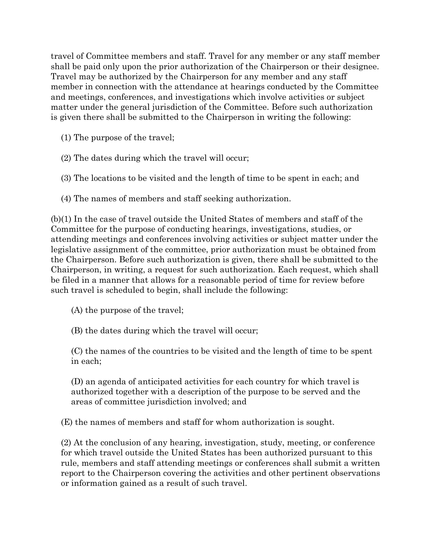travel of Committee members and staff. Travel for any member or any staff member shall be paid only upon the prior authorization of the Chairperson or their designee. Travel may be authorized by the Chairperson for any member and any staff member in connection with the attendance at hearings conducted by the Committee and meetings, conferences, and investigations which involve activities or subject matter under the general jurisdiction of the Committee. Before such authorization is given there shall be submitted to the Chairperson in writing the following:

- (1) The purpose of the travel;
- (2) The dates during which the travel will occur;
- (3) The locations to be visited and the length of time to be spent in each; and
- (4) The names of members and staff seeking authorization.

(b)(1) In the case of travel outside the United States of members and staff of the Committee for the purpose of conducting hearings, investigations, studies, or attending meetings and conferences involving activities or subject matter under the legislative assignment of the committee, prior authorization must be obtained from the Chairperson. Before such authorization is given, there shall be submitted to the Chairperson, in writing, a request for such authorization. Each request, which shall be filed in a manner that allows for a reasonable period of time for review before such travel is scheduled to begin, shall include the following:

(A) the purpose of the travel;

(B) the dates during which the travel will occur;

(C) the names of the countries to be visited and the length of time to be spent in each;

(D) an agenda of anticipated activities for each country for which travel is authorized together with a description of the purpose to be served and the areas of committee jurisdiction involved; and

(E) the names of members and staff for whom authorization is sought.

(2) At the conclusion of any hearing, investigation, study, meeting, or conference for which travel outside the United States has been authorized pursuant to this rule, members and staff attending meetings or conferences shall submit a written report to the Chairperson covering the activities and other pertinent observations or information gained as a result of such travel.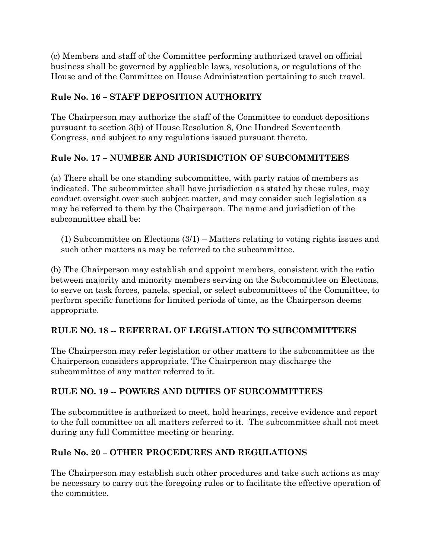(c) Members and staff of the Committee performing authorized travel on official business shall be governed by applicable laws, resolutions, or regulations of the House and of the Committee on House Administration pertaining to such travel.

#### **Rule No. 16 – STAFF DEPOSITION AUTHORITY**

The Chairperson may authorize the staff of the Committee to conduct depositions pursuant to section 3(b) of House Resolution 8, One Hundred Seventeenth Congress, and subject to any regulations issued pursuant thereto.

# **Rule No. 17 – NUMBER AND JURISDICTION OF SUBCOMMITTEES**

(a) There shall be one standing subcommittee, with party ratios of members as indicated. The subcommittee shall have jurisdiction as stated by these rules, may conduct oversight over such subject matter, and may consider such legislation as may be referred to them by the Chairperson. The name and jurisdiction of the subcommittee shall be:

(1) Subcommittee on Elections (3/1) – Matters relating to voting rights issues and such other matters as may be referred to the subcommittee.

(b) The Chairperson may establish and appoint members, consistent with the ratio between majority and minority members serving on the Subcommittee on Elections, to serve on task forces, panels, special, or select subcommittees of the Committee, to perform specific functions for limited periods of time, as the Chairperson deems appropriate.

# **RULE NO. 18 -- REFERRAL OF LEGISLATION TO SUBCOMMITTEES**

The Chairperson may refer legislation or other matters to the subcommittee as the Chairperson considers appropriate. The Chairperson may discharge the subcommittee of any matter referred to it.

#### **RULE NO. 19 -- POWERS AND DUTIES OF SUBCOMMITTEES**

The subcommittee is authorized to meet, hold hearings, receive evidence and report to the full committee on all matters referred to it. The subcommittee shall not meet during any full Committee meeting or hearing.

#### **Rule No. 20 – OTHER PROCEDURES AND REGULATIONS**

The Chairperson may establish such other procedures and take such actions as may be necessary to carry out the foregoing rules or to facilitate the effective operation of the committee.